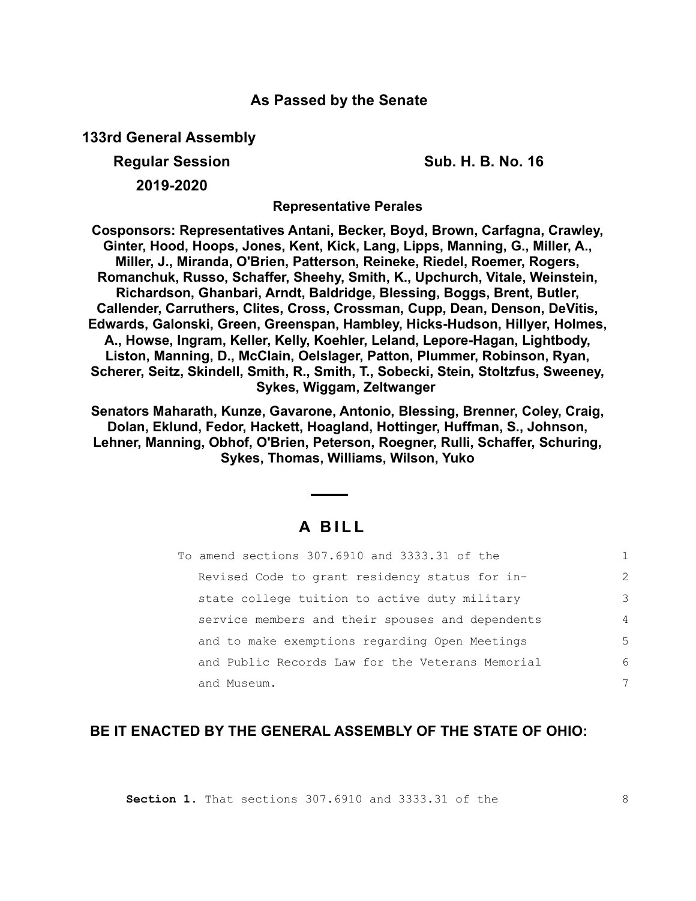## **As Passed by the Senate**

**133rd General Assembly**

**Regular Session Sub. H. B. No. 16**

**2019-2020**

**Representative Perales**

**Cosponsors: Representatives Antani, Becker, Boyd, Brown, Carfagna, Crawley, Ginter, Hood, Hoops, Jones, Kent, Kick, Lang, Lipps, Manning, G., Miller, A., Miller, J., Miranda, O'Brien, Patterson, Reineke, Riedel, Roemer, Rogers, Romanchuk, Russo, Schaffer, Sheehy, Smith, K., Upchurch, Vitale, Weinstein, Richardson, Ghanbari, Arndt, Baldridge, Blessing, Boggs, Brent, Butler, Callender, Carruthers, Clites, Cross, Crossman, Cupp, Dean, Denson, DeVitis, Edwards, Galonski, Green, Greenspan, Hambley, Hicks-Hudson, Hillyer, Holmes, A., Howse, Ingram, Keller, Kelly, Koehler, Leland, Lepore-Hagan, Lightbody, Liston, Manning, D., McClain, Oelslager, Patton, Plummer, Robinson, Ryan, Scherer, Seitz, Skindell, Smith, R., Smith, T., Sobecki, Stein, Stoltzfus, Sweeney, Sykes, Wiggam, Zeltwanger** 

**Senators Maharath, Kunze, Gavarone, Antonio, Blessing, Brenner, Coley, Craig, Dolan, Eklund, Fedor, Hackett, Hoagland, Hottinger, Huffman, S., Johnson, Lehner, Manning, Obhof, O'Brien, Peterson, Roegner, Rulli, Schaffer, Schuring, Sykes, Thomas, Williams, Wilson, Yuko**

# **A B I L L**

| To amend sections 307.6910 and 3333.31 of the    |                |
|--------------------------------------------------|----------------|
| Revised Code to grant residency status for in-   | $\mathcal{L}$  |
| state college tuition to active duty military    | 3              |
| service members and their spouses and dependents | $\overline{4}$ |
| and to make exemptions regarding Open Meetings   | 5              |
| and Public Records Law for the Veterans Memorial | 6              |
| and Museum.                                      |                |

## **BE IT ENACTED BY THE GENERAL ASSEMBLY OF THE STATE OF OHIO:**

**Section 1.** That sections 307.6910 and 3333.31 of the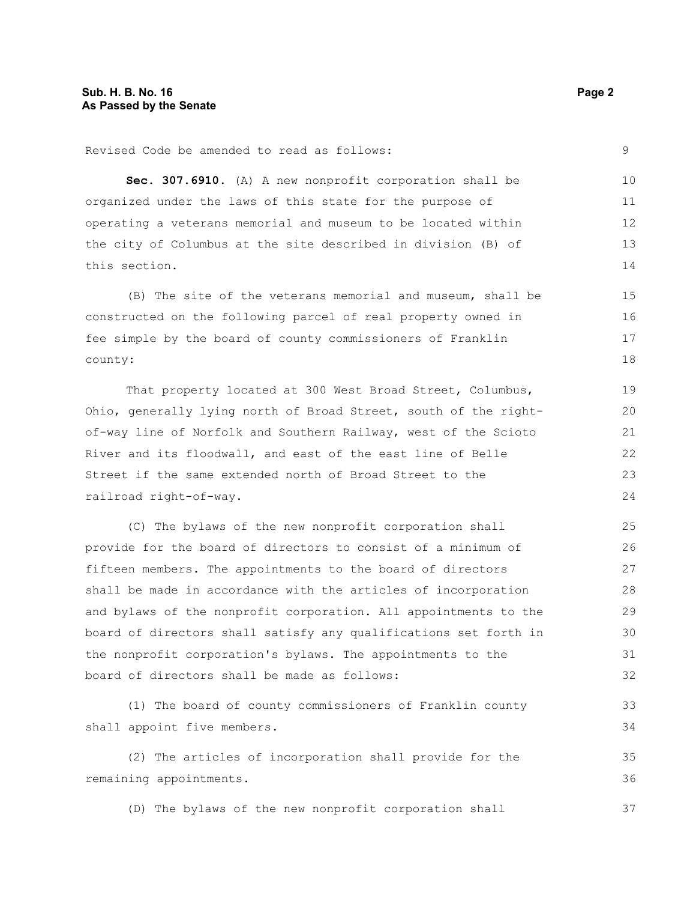Revised Code be amended to read as follows: **Sec. 307.6910.** (A) A new nonprofit corporation shall be organized under the laws of this state for the purpose of operating a veterans memorial and museum to be located within the city of Columbus at the site described in division (B) of this section. (B) The site of the veterans memorial and museum, shall be constructed on the following parcel of real property owned in fee simple by the board of county commissioners of Franklin county: That property located at 300 West Broad Street, Columbus, Ohio, generally lying north of Broad Street, south of the rightof-way line of Norfolk and Southern Railway, west of the Scioto River and its floodwall, and east of the east line of Belle 9 10 11 12 13 14 15 16 17 18 19 20 21 22

Street if the same extended north of Broad Street to the railroad right-of-way. 23  $24$ 

(C) The bylaws of the new nonprofit corporation shall provide for the board of directors to consist of a minimum of fifteen members. The appointments to the board of directors shall be made in accordance with the articles of incorporation and bylaws of the nonprofit corporation. All appointments to the board of directors shall satisfy any qualifications set forth in the nonprofit corporation's bylaws. The appointments to the board of directors shall be made as follows: 25 26 27 28 29 30 31 32

(1) The board of county commissioners of Franklin county shall appoint five members.

(2) The articles of incorporation shall provide for the remaining appointments. 35 36

(D) The bylaws of the new nonprofit corporation shall

33 34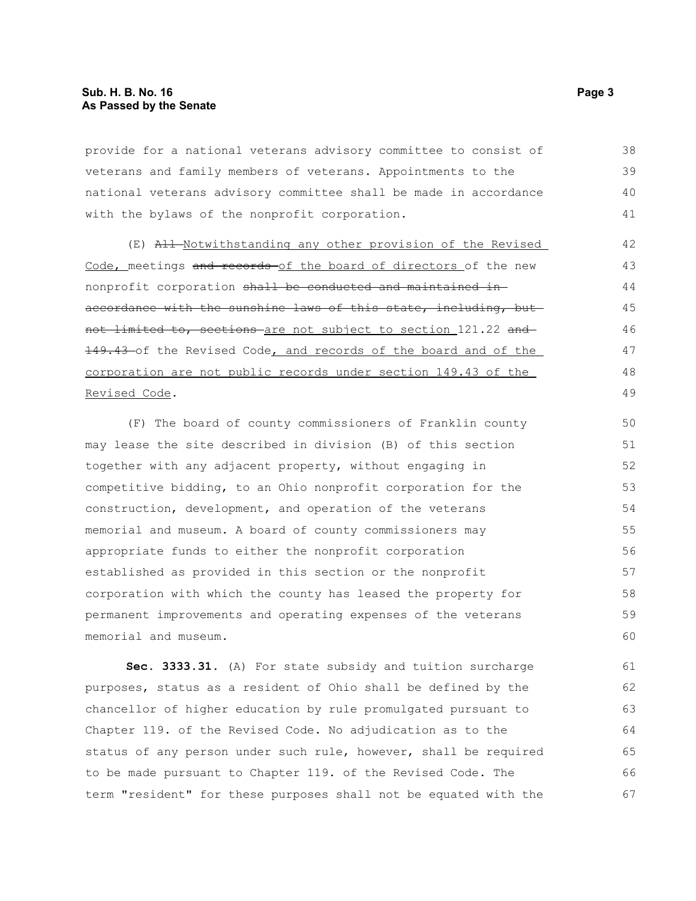provide for a national veterans advisory committee to consist of veterans and family members of veterans. Appointments to the national veterans advisory committee shall be made in accordance with the bylaws of the nonprofit corporation. 38 39 40 41

(E) All Notwithstanding any other provision of the Revised Code, meetings and records of the board of directors of the new nonprofit corporation shall be conducted and maintained inaccordance with the sunshine laws of this state, including, butnot limited to, sections are not subject to section 121.22 and 149.43 of the Revised Code, and records of the board and of the corporation are not public records under section 149.43 of the Revised Code. 42 43 44 45 46 47 48 49

(F) The board of county commissioners of Franklin county may lease the site described in division (B) of this section together with any adjacent property, without engaging in competitive bidding, to an Ohio nonprofit corporation for the construction, development, and operation of the veterans memorial and museum. A board of county commissioners may appropriate funds to either the nonprofit corporation established as provided in this section or the nonprofit corporation with which the county has leased the property for permanent improvements and operating expenses of the veterans memorial and museum. 50 51 52 53 54 55 56 57 58 59 60

**Sec. 3333.31.** (A) For state subsidy and tuition surcharge purposes, status as a resident of Ohio shall be defined by the chancellor of higher education by rule promulgated pursuant to Chapter 119. of the Revised Code. No adjudication as to the status of any person under such rule, however, shall be required to be made pursuant to Chapter 119. of the Revised Code. The term "resident" for these purposes shall not be equated with the 61 62 63 64 65 66 67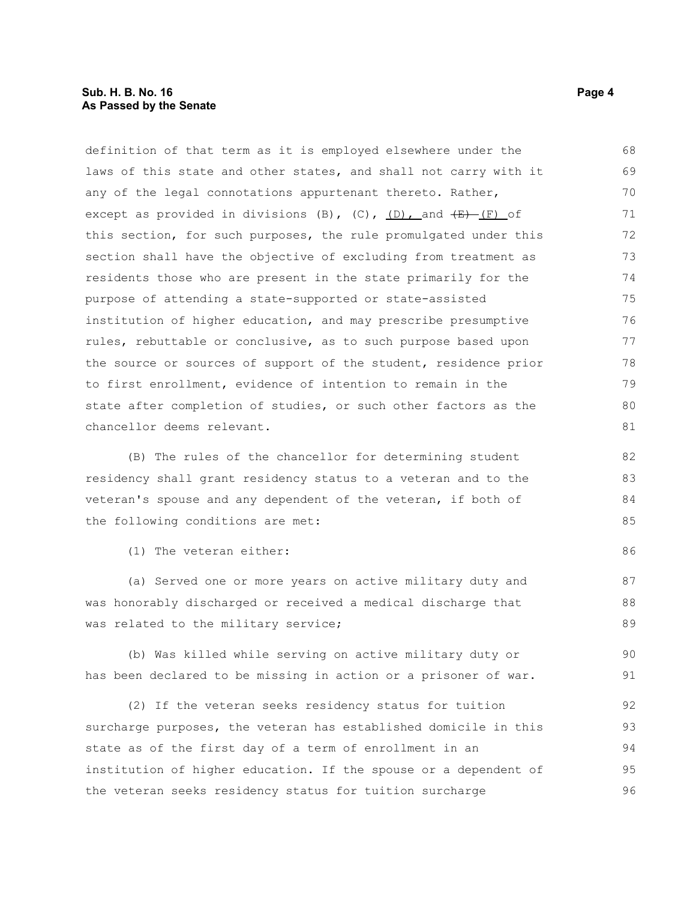## **Sub. H. B. No. 16 Page 4 As Passed by the Senate**

| laws of this state and other states, and shall not carry with it                 | 69 |
|----------------------------------------------------------------------------------|----|
| any of the legal connotations appurtenant thereto. Rather,                       | 70 |
| except as provided in divisions (B), (C), <u>(D), a</u> nd <del>(E)</del> (F) of | 71 |
| this section, for such purposes, the rule promulgated under this                 | 72 |
| section shall have the objective of excluding from treatment as                  | 73 |
| residents those who are present in the state primarily for the                   | 74 |
| purpose of attending a state-supported or state-assisted                         | 75 |
| institution of higher education, and may prescribe presumptive                   | 76 |
| rules, rebuttable or conclusive, as to such purpose based upon                   | 77 |
| the source or sources of support of the student, residence prior                 | 78 |
| to first enrollment, evidence of intention to remain in the                      | 79 |
| state after completion of studies, or such other factors as the                  | 80 |
| chancellor deems relevant.                                                       | 81 |
| (B) The rules of the chancellor for determining student                          | 82 |
| residency shall grant residency status to a veteran and to the                   | 83 |
| veteran's spouse and any dependent of the veteran, if both of                    | 84 |
| the following conditions are met:                                                | 85 |
|                                                                                  |    |
| (1) The veteran either:                                                          | 86 |
| (a) Served one or more years on active military duty and                         | 87 |
| was honorably discharged or received a medical discharge that                    | 88 |
| was related to the military service;                                             | 89 |
| (b) Was killed while serving on active military duty or                          | 90 |
|                                                                                  |    |
| has been declared to be missing in action or a prisoner of war.                  | 91 |
| (2) If the veteran seeks residency status for tuition                            | 92 |
| surcharge purposes, the veteran has established domicile in this                 | 93 |
| state as of the first day of a term of enrollment in an                          | 94 |
|                                                                                  |    |

definition of that term as it is employed elsewhere under the

institution of higher education. If the spouse or a dependent of the veteran seeks residency status for tuition surcharge 95 96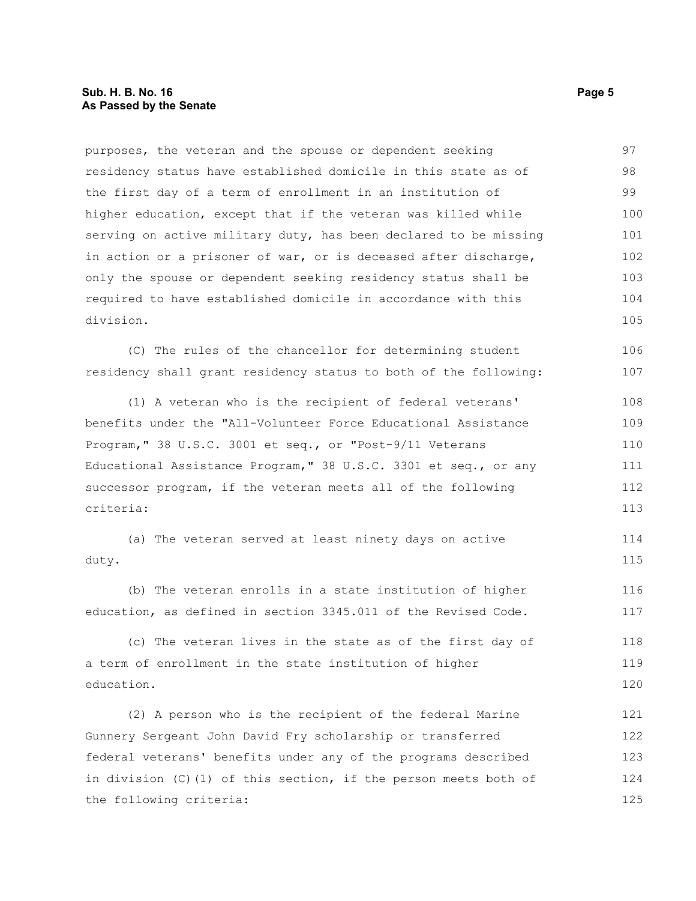#### **Sub. H. B. No. 16 Page 5 As Passed by the Senate**

purposes, the veteran and the spouse or dependent seeking residency status have established domicile in this state as of the first day of a term of enrollment in an institution of higher education, except that if the veteran was killed while serving on active military duty, has been declared to be missing in action or a prisoner of war, or is deceased after discharge, only the spouse or dependent seeking residency status shall be required to have established domicile in accordance with this division. 97 98 99 100 101 102 103 104 105

(C) The rules of the chancellor for determining student residency shall grant residency status to both of the following: 106 107

(1) A veteran who is the recipient of federal veterans' benefits under the "All-Volunteer Force Educational Assistance Program," 38 U.S.C. 3001 et seq., or "Post-9/11 Veterans Educational Assistance Program," 38 U.S.C. 3301 et seq., or any successor program, if the veteran meets all of the following criteria: 108 109 110 111 112 113

(a) The veteran served at least ninety days on active duty. 114 115

(b) The veteran enrolls in a state institution of higher education, as defined in section 3345.011 of the Revised Code. 116 117

(c) The veteran lives in the state as of the first day of a term of enrollment in the state institution of higher education. 118 119 120

(2) A person who is the recipient of the federal Marine Gunnery Sergeant John David Fry scholarship or transferred federal veterans' benefits under any of the programs described in division (C)(1) of this section, if the person meets both of the following criteria: 121 122 123 124 125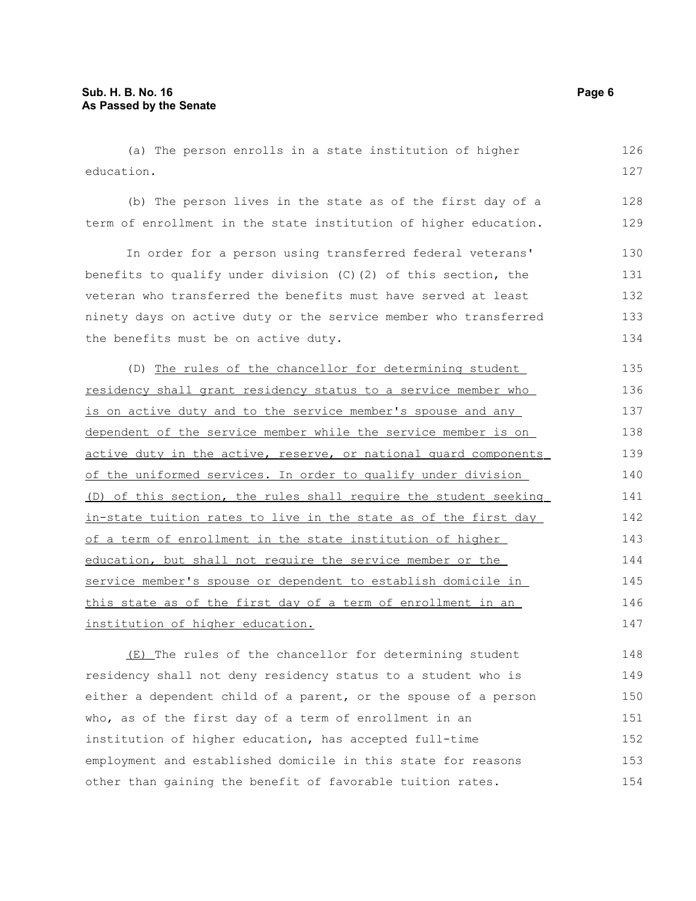(a) The person enrolls in a state institution of higher education. 126 127

(b) The person lives in the state as of the first day of a term of enrollment in the state institution of higher education.

In order for a person using transferred federal veterans' benefits to qualify under division (C)(2) of this section, the veteran who transferred the benefits must have served at least ninety days on active duty or the service member who transferred the benefits must be on active duty. 130 131 132 133 134

(D) The rules of the chancellor for determining student residency shall grant residency status to a service member who is on active duty and to the service member's spouse and any dependent of the service member while the service member is on active duty in the active, reserve, or national quard components of the uniformed services. In order to qualify under division (D) of this section, the rules shall require the student seeking in-state tuition rates to live in the state as of the first day of a term of enrollment in the state institution of higher education, but shall not require the service member or the service member's spouse or dependent to establish domicile in this state as of the first day of a term of enrollment in an institution of higher education. 135 136 137 138 139 140 141 142 143 144 145 146 147

(E) The rules of the chancellor for determining student residency shall not deny residency status to a student who is either a dependent child of a parent, or the spouse of a person who, as of the first day of a term of enrollment in an institution of higher education, has accepted full-time employment and established domicile in this state for reasons other than gaining the benefit of favorable tuition rates. 148 149 150 151 152 153 154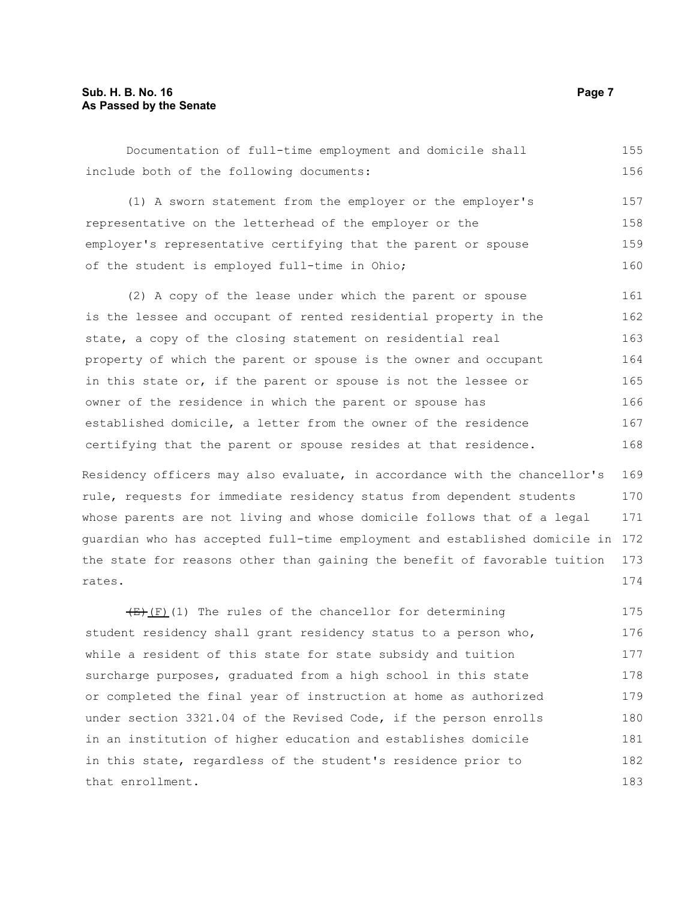#### **Sub. H. B. No. 16 Page 7 As Passed by the Senate**

Documentation of full-time employment and domicile shall include both of the following documents: 155 156

(1) A sworn statement from the employer or the employer's representative on the letterhead of the employer or the employer's representative certifying that the parent or spouse of the student is employed full-time in Ohio; 157 158 159 160

(2) A copy of the lease under which the parent or spouse is the lessee and occupant of rented residential property in the state, a copy of the closing statement on residential real property of which the parent or spouse is the owner and occupant in this state or, if the parent or spouse is not the lessee or owner of the residence in which the parent or spouse has established domicile, a letter from the owner of the residence certifying that the parent or spouse resides at that residence. 161 162 163 164 165 166 167 168

Residency officers may also evaluate, in accordance with the chancellor's rule, requests for immediate residency status from dependent students whose parents are not living and whose domicile follows that of a legal guardian who has accepted full-time employment and established domicile in 172 the state for reasons other than gaining the benefit of favorable tuition rates. 169 170 171 173 174

 $(E)$ (F)(1) The rules of the chancellor for determining student residency shall grant residency status to a person who, while a resident of this state for state subsidy and tuition surcharge purposes, graduated from a high school in this state or completed the final year of instruction at home as authorized under section 3321.04 of the Revised Code, if the person enrolls in an institution of higher education and establishes domicile in this state, regardless of the student's residence prior to that enrollment. 175 176 177 178 179 180 181 182 183